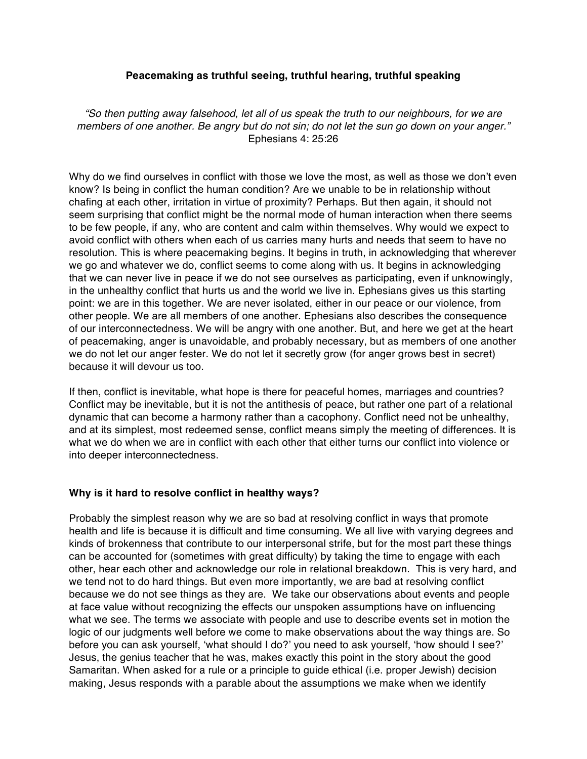### **Peacemaking as truthful seeing, truthful hearing, truthful speaking**

*"So then putting away falsehood, let all of us speak the truth to our neighbours, for we are* members of one another. Be angry but do not sin; do not let the sun go down on your anger." Ephesians 4: 25:26

Why do we find ourselves in conflict with those we love the most, as well as those we don't even know? Is being in conflict the human condition? Are we unable to be in relationship without chafing at each other, irritation in virtue of proximity? Perhaps. But then again, it should not seem surprising that conflict might be the normal mode of human interaction when there seems to be few people, if any, who are content and calm within themselves. Why would we expect to avoid conflict with others when each of us carries many hurts and needs that seem to have no resolution. This is where peacemaking begins. It begins in truth, in acknowledging that wherever we go and whatever we do, conflict seems to come along with us. It begins in acknowledging that we can never live in peace if we do not see ourselves as participating, even if unknowingly, in the unhealthy conflict that hurts us and the world we live in. Ephesians gives us this starting point: we are in this together. We are never isolated, either in our peace or our violence, from other people. We are all members of one another. Ephesians also describes the consequence of our interconnectedness. We will be angry with one another. But, and here we get at the heart of peacemaking, anger is unavoidable, and probably necessary, but as members of one another we do not let our anger fester. We do not let it secretly grow (for anger grows best in secret) because it will devour us too.

If then, conflict is inevitable, what hope is there for peaceful homes, marriages and countries? Conflict may be inevitable, but it is not the antithesis of peace, but rather one part of a relational dynamic that can become a harmony rather than a cacophony. Conflict need not be unhealthy, and at its simplest, most redeemed sense, conflict means simply the meeting of differences. It is what we do when we are in conflict with each other that either turns our conflict into violence or into deeper interconnectedness.

# **Why is it hard to resolve conflict in healthy ways?**

Probably the simplest reason why we are so bad at resolving conflict in ways that promote health and life is because it is difficult and time consuming. We all live with varying degrees and kinds of brokenness that contribute to our interpersonal strife, but for the most part these things can be accounted for (sometimes with great difficulty) by taking the time to engage with each other, hear each other and acknowledge our role in relational breakdown. This is very hard, and we tend not to do hard things. But even more importantly, we are bad at resolving conflict because we do not see things as they are. We take our observations about events and people at face value without recognizing the effects our unspoken assumptions have on influencing what we see. The terms we associate with people and use to describe events set in motion the logic of our judgments well before we come to make observations about the way things are. So before you can ask yourself, 'what should I do?' you need to ask yourself, 'how should I see?' Jesus, the genius teacher that he was, makes exactly this point in the story about the good Samaritan. When asked for a rule or a principle to guide ethical (i.e. proper Jewish) decision making, Jesus responds with a parable about the assumptions we make when we identify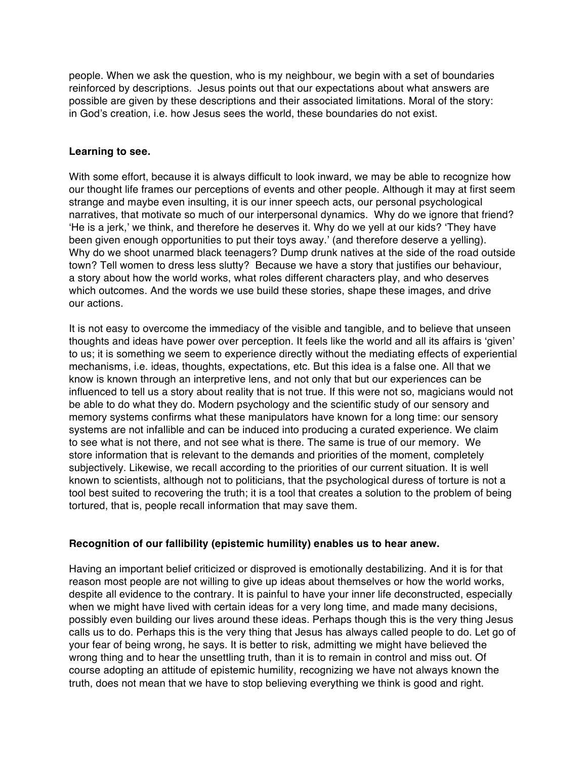people. When we ask the question, who is my neighbour, we begin with a set of boundaries reinforced by descriptions. Jesus points out that our expectations about what answers are possible are given by these descriptions and their associated limitations. Moral of the story: in God's creation, i.e. how Jesus sees the world, these boundaries do not exist.

#### **Learning to see.**

With some effort, because it is always difficult to look inward, we may be able to recognize how our thought life frames our perceptions of events and other people. Although it may at first seem strange and maybe even insulting, it is our inner speech acts, our personal psychological narratives, that motivate so much of our interpersonal dynamics. Why do we ignore that friend? 'He is a jerk,' we think, and therefore he deserves it. Why do we yell at our kids? 'They have been given enough opportunities to put their toys away.' (and therefore deserve a yelling). Why do we shoot unarmed black teenagers? Dump drunk natives at the side of the road outside town? Tell women to dress less slutty? Because we have a story that justifies our behaviour, a story about how the world works, what roles different characters play, and who deserves which outcomes. And the words we use build these stories, shape these images, and drive our actions.

It is not easy to overcome the immediacy of the visible and tangible, and to believe that unseen thoughts and ideas have power over perception. It feels like the world and all its affairs is 'given' to us; it is something we seem to experience directly without the mediating effects of experiential mechanisms, i.e. ideas, thoughts, expectations, etc. But this idea is a false one. All that we know is known through an interpretive lens, and not only that but our experiences can be influenced to tell us a story about reality that is not true. If this were not so, magicians would not be able to do what they do. Modern psychology and the scientific study of our sensory and memory systems confirms what these manipulators have known for a long time: our sensory systems are not infallible and can be induced into producing a curated experience. We claim to see what is not there, and not see what is there. The same is true of our memory. We store information that is relevant to the demands and priorities of the moment, completely subjectively. Likewise, we recall according to the priorities of our current situation. It is well known to scientists, although not to politicians, that the psychological duress of torture is not a tool best suited to recovering the truth; it is a tool that creates a solution to the problem of being tortured, that is, people recall information that may save them.

# **Recognition of our fallibility (epistemic humility) enables us to hear anew.**

Having an important belief criticized or disproved is emotionally destabilizing. And it is for that reason most people are not willing to give up ideas about themselves or how the world works, despite all evidence to the contrary. It is painful to have your inner life deconstructed, especially when we might have lived with certain ideas for a very long time, and made many decisions, possibly even building our lives around these ideas. Perhaps though this is the very thing Jesus calls us to do. Perhaps this is the very thing that Jesus has always called people to do. Let go of your fear of being wrong, he says. It is better to risk, admitting we might have believed the wrong thing and to hear the unsettling truth, than it is to remain in control and miss out. Of course adopting an attitude of epistemic humility, recognizing we have not always known the truth, does not mean that we have to stop believing everything we think is good and right.